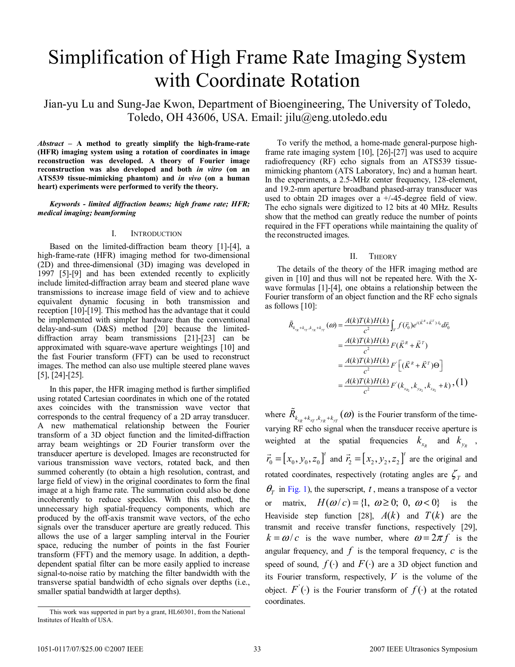# Simplification of High Frame Rate Imaging System with Coordinate Rotation

Jian-yu Lu and Sung-Jae Kwon, Department of Bioengineering, The University of Toledo, Toledo, OH 43606, USA. Email: jilu@eng.utoledo.edu

*Abstract* **– A method to greatly simplify the high-frame-rate (HFR) imaging system using a rotation of coordinates in image reconstruction was developed. A theory of Fourier image reconstruction was also developed and both** *in vitro* **(on an ATS539 tissue-mimicking phantom) and** *in vivo* **(on a human heart) experiments were performed to verify the theory.** 

*Keywords - limited diffraction beams; high frame rate; HFR; medical imaging; beamforming* 

## I. INTRODUCTION

Based on the limited-diffraction beam theory [1]-[4], a high-frame-rate (HFR) imaging method for two-dimensional (2D) and three-dimensional (3D) imaging was developed in 1997 [5]-[9] and has been extended recently to explicitly include limited-diffraction array beam and steered plane wave transmissions to increase image field of view and to achieve equivalent dynamic focusing in both transmission and reception [10]-[19]. This method has the advantage that it could be implemented with simpler hardware than the conventional delay-and-sum (D&S) method [20] because the limiteddiffraction array beam transmissions [21]-[23] can be approximated with square-wave aperture weightings [10] and the fast Fourier transform (FFT) can be used to reconstruct images. The method can also use multiple steered plane waves [5], [24]-[25].

In this paper, the HFR imaging method is further simplified using rotated Cartesian coordinates in which one of the rotated axes coincides with the transmission wave vector that corresponds to the central frequency of a 2D array transducer. A new mathematical relationship between the Fourier transform of a 3D object function and the limited-diffraction array beam weightings or 2D Fourier transform over the transducer aperture is developed. Images are reconstructed for various transmission wave vectors, rotated back, and then summed coherently (to obtain a high resolution, contrast, and large field of view) in the original coordinates to form the final image at a high frame rate. The summation could also be done incoherently to reduce speckles. With this method, the unnecessary high spatial-frequency components, which are produced by the off-axis transmit wave vectors, of the echo signals over the transducer aperture are greatly reduced. This allows the use of a larger sampling interval in the Fourier space, reducing the number of points in the fast Fourier transform (FFT) and the memory usage. In addition, a depthdependent spatial filter can be more easily applied to increase signal-to-noise ratio by matching the filter bandwidth with the transverse spatial bandwidth of echo signals over depths (i.e., smaller spatial bandwidth at larger depths).

To verify the method, a home-made general-purpose highframe rate imaging system [10], [26]-[27] was used to acquire radiofrequency (RF) echo signals from an ATS539 tissuemimicking phantom (ATS Laboratory, Inc) and a human heart. In the experiments, a 2.5-MHz center frequency, 128-element, and 19.2-mm aperture broadband phased-array transducer was used to obtain  $2D$  images over a  $+/-45$ -degree field of view. The echo signals were digitized to 12 bits at 40 MHz. Results show that the method can greatly reduce the number of points required in the FFT operations while maintaining the quality of the reconstructed images.

## II. THEORY

The details of the theory of the HFR imaging method are given in [10] and thus will not be repeated here. With the Xwave formulas [1]-[4], one obtains a relationship between the Fourier transform of an object function and the RF echo signals as follows [10]:

$$
\tilde{R}_{k_{x_R}+k_{y_T},k_{y_R}+k_{y_T}}(\omega) = \frac{A(k)T(k)H(k)}{c^2} \int_{V} f(\vec{r}_0) e^{i(\vec{K}^R+\vec{K}^T)\cdot\vec{v}_0} d\vec{r}_0
$$
\n
$$
= \frac{A(k)T(k)H(k)}{c^2} F(\vec{K}^R+\vec{K}^T)
$$
\n
$$
= \frac{A(k)T(k)H(k)}{c^2} F\left[ (\vec{K}^R+\vec{K}^T)\Theta \right]
$$
\n
$$
= \frac{A(k)T(k)H(k)}{c^2} F(k_{x_{n_2}},k_{y_{n_2}},k_{z_{n_2}}+k) \cdot (1)
$$

where  $\tilde{R}_{k_{x_R}+k_{x_T},k_{y_R}+k_{y_T}}(\omega)$  is the Fourier transform of the timevarying RF echo signal when the transducer receive aperture is weighted at the spatial frequencies  $k_{x_R}$  and  $k_{y_R}$ ,  $\vec{r}_0 = [x_0, y_0, z_0]^t$  and  $\vec{r}_2 = [x_2, y_2, z_2]^t$  are the original and rotated coordinates, respectively (rotating angles are  $\zeta_T$  and  $\theta$ <sup>*T*</sup> in Fig. 1), the superscript, *t*, means a transpose of a vector or matrix,  $H(\omega/c) = \{1, \omega \ge 0; 0, \omega < 0\}$  is the Heaviside step function [28],  $A(k)$  and  $T(k)$  are the transmit and receive transfer functions, respectively [29],  $k = \omega/c$  is the wave number, where  $\omega = 2\pi f$  is the angular frequency, and  $f$  is the temporal frequency,  $c$  is the speed of sound,  $f(\cdot)$  and  $F(\cdot)$  are a 3D object function and its Fourier transform, respectively, *V* is the volume of the object.  $F'(\cdot)$  is the Fourier transform of  $f(\cdot)$  at the rotated coordinates.

This work was supported in part by a grant, HL60301, from the National Institutes of Health of USA.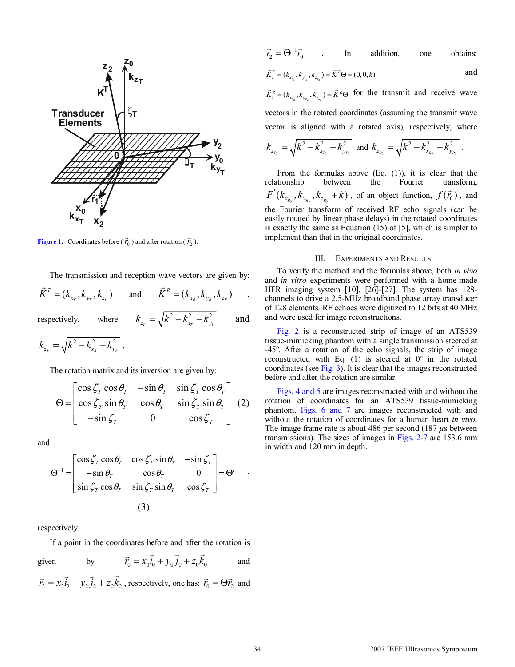

**Figure 1.** Coordinates before ( $\vec{r}_0$ ) and after rotation ( $\vec{r}_2$ ).

The transmission and reception wave vectors are given by:

$$
\vec{K}^T = (k_{x_T}, k_{y_T}, k_{z_T})
$$
 and  $\vec{K}^R = (k_{x_R}, k_{y_R}, k_{z_R})$ ,  
respectively, where  $k_{z_T} = \sqrt{k^2 - k_{x_T}^2 - k_{y_T}^2}$  and

 $k_{z_R} = \sqrt{k^2 - k_{x_R}^2 - k_{y_R}^2}$ .

The rotation matrix and its inversion are given by:

$$
\Theta = \begin{bmatrix}\n\cos \zeta_T \cos \theta_T & -\sin \theta_T & \sin \zeta_T \cos \theta_T \\
\cos \zeta_T \sin \theta_T & \cos \theta_T & \sin \zeta_T \sin \theta_T \\
-\sin \zeta_T & 0 & \cos \zeta_T\n\end{bmatrix} (2)
$$

and

$$
\Theta^{-1} = \begin{bmatrix} \cos \zeta_T \cos \theta_T & \cos \zeta_T \sin \theta_T & -\sin \zeta_T \\ -\sin \theta_T & \cos \theta_T & 0 \\ \sin \zeta_T \cos \theta_T & \sin \zeta_T \sin \theta_T & \cos \zeta_T \end{bmatrix} = \Theta' ,
$$
  
(3)

respectively.

If a point in the coordinates before and after the rotation is

given by  $\vec{r}_0 = x_0 \vec{i}_0 + y_0 \vec{j}_0 + z_0 \vec{k}_0$  and  $\vec{r}_2 = x_2 \vec{i}_2 + y_2 \vec{j}_2 + z_2 \vec{k}_2$ , respectively, one has:  $\vec{r}_0 = \Theta \vec{r}_2$  and

$$
\vec{r}_2 = \Theta^{-1} \vec{r}_0
$$
 In addition, one obtains:

$$
\vec{K}_2^T = (k_{x_{Y_2}}, k_{y_{Y_2}}, k_{z_{Y_2}}) = \vec{K}^T \Theta = (0, 0, k)
$$
 and

 $\vec{K}_2^R = (k_{x_{R_2}}, k_{y_{R_2}}, k_{z_{R_2}}) = \vec{K}^R \Theta$  for the transmit and receive wave vectors in the rotated coordinates (assuming the transmit wave vector is aligned with a rotated axis), respectively, where

$$
k_{z_{T_2}} = \sqrt{k^2 - k_{x_{T_2}}^2 - k_{y_{T_2}}^2}
$$
 and  $k_{z_{R_2}} = \sqrt{k^2 - k_{x_{R_2}}^2 - k_{y_{R_2}}^2}$ .

From the formulas above  $(Eq. (1))$ , it is clear that the relationship between the Fourier transform, 2  $\frac{1}{2}$   $\frac{1}{2}$   $\frac{1}{2}$   $\frac{1}{2}$  $F^{'}(k_{x_R}, k_{y_R}, k_{z_R}, +k)$ , of an object function,  $f(\vec{r}_0)$ , and the Fourier transform of received RF echo signals (can be easily rotated by linear phase delays) in the rotated coordinates is exactly the same as Equation (15) of [5], which is simpler to implement than that in the original coordinates.

### III. EXPERIMENTS AND RESULTS

To verify the method and the formulas above, both *in vivo* and *in vitro* experiments were performed with a home-made HFR imaging system [10], [26]-[27]. The system has 128 channels to drive a 2.5-MHz broadband phase array transducer of 128 elements. RF echoes were digitized to 12 bits at 40 MHz and were used for image reconstructions.

Fig. 2 is a reconstructed strip of image of an ATS539 tissue-mimicking phantom with a single transmission steered at -45º. After a rotation of the echo signals, the strip of image reconstructed with Eq. (1) is steered at 0º in the rotated coordinates (see Fig. 3). It is clear that the images reconstructed before and after the rotation are similar.

Figs. 4 and 5 are images reconstructed with and without the rotation of coordinates for an ATS539 tissue-mimicking phantom. Figs. 6 and 7 are images reconstructed with and without the rotation of coordinates for a human heart *in vivo*. The image frame rate is about 486 per second (187 *µ*s between transmissions). The sizes of images in Figs. 2-7 are 153.6 mm in width and 120 mm in depth.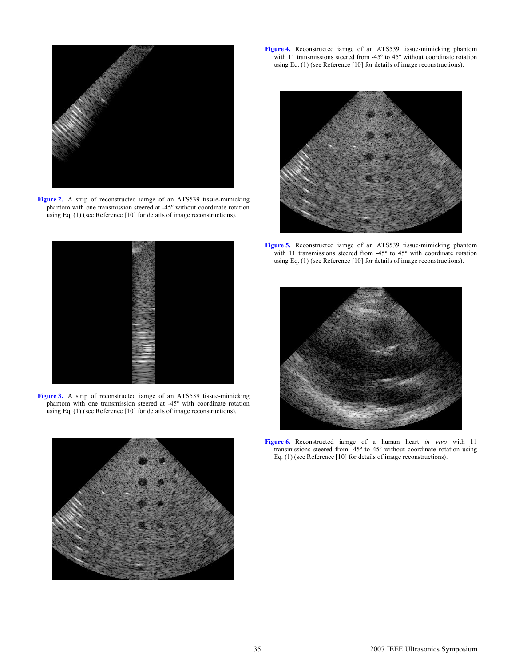

Figure 2. A strip of reconstructed iamge of an ATS539 tissue-mimicking phantom with one transmission steered at -45º without coordinate rotation using Eq. (1) (see Reference [10] for details of image reconstructions).



**Figure 3.** A strip of reconstructed iamge of an ATS539 tissue-mimicking phantom with one transmission steered at -45º with coordinate rotation using Eq. (1) (see Reference [10] for details of image reconstructions).



**Figure 4.** Reconstructed iamge of an ATS539 tissue-mimicking phantom with 11 transmissions steered from -45° to 45° without coordinate rotation using Eq. (1) (see Reference [10] for details of image reconstructions).



**Figure 5.** Reconstructed iamge of an ATS539 tissue-mimicking phantom with 11 transmissions steered from -45º to 45º with coordinate rotation using Eq. (1) (see Reference [10] for details of image reconstructions).



**Figure 6.** Reconstructed iamge of a human heart *in vivo* with 11 transmissions steered from -45º to 45º without coordinate rotation using Eq. (1) (see Reference [10] for details of image reconstructions).